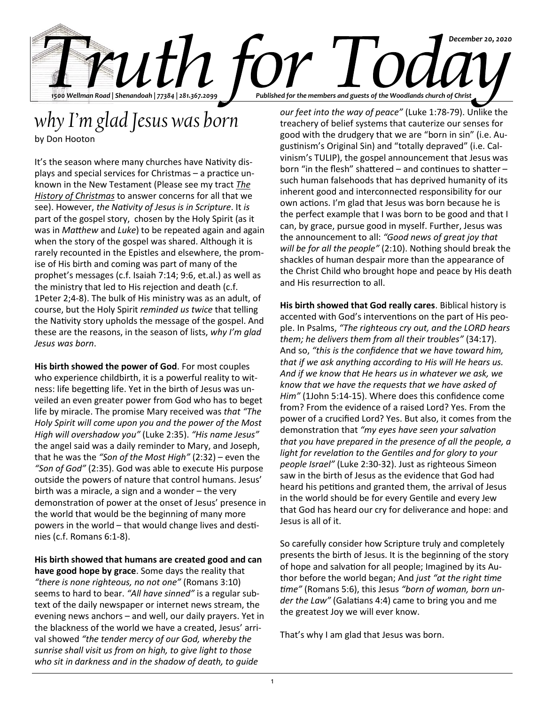

## *why I'm glad Jesus was born*

by Don Hooton

It's the season where many churches have Nativity displays and special services for Christmas – a practice unknown in the New Testament (Please see my tract *The History of Christmas* to answer concerns for all that we see). However, *the Nativity of Jesus is in Scripture*. It *is* part of the gospel story, chosen by the Holy Spirit (as it was in *Matthew* and *Luke*) to be repeated again and again when the story of the gospel was shared. Although it is rarely recounted in the Epistles and elsewhere, the promise of His birth and coming was part of many of the prophet's messages (c.f. Isaiah 7:14; 9:6, et.al.) as well as the ministry that led to His rejection and death (c.f. 1Peter 2;4-8). The bulk of His ministry was as an adult, of course, but the Holy Spirit *reminded us twice* that telling the Nativity story upholds the message of the gospel. And these are the reasons, in the season of lists, *why I'm glad Jesus was born*.

**His birth showed the power of God**. For most couples who experience childbirth, it is a powerful reality to witness: life begetting life. Yet in the birth of Jesus was unveiled an even greater power from God who has to beget life by miracle. The promise Mary received was *that "The Holy Spirit will come upon you and the power of the Most High will overshadow you"* (Luke 2:35). *"His name Jesus"* the angel said was a daily reminder to Mary, and Joseph, that he was the *"Son of the Most High"* (2:32) – even the *"Son of God"* (2:35). God was able to execute His purpose outside the powers of nature that control humans. Jesus' birth was a miracle, a sign and a wonder – the very demonstration of power at the onset of Jesus' presence in the world that would be the beginning of many more powers in the world – that would change lives and destinies (c.f. Romans 6:1-8).

**His birth showed that humans are created good and can have good hope by grace**. Some days the reality that *"there is none righteous, no not one"* (Romans 3:10) seems to hard to bear. *"All have sinned"* is a regular subtext of the daily newspaper or internet news stream, the evening news anchors – and well, our daily prayers. Yet in the blackness of the world we have a created, Jesus' arrival showed *"the tender mercy of our God, whereby the sunrise shall visit us from on high, to give light to those who sit in darkness and in the shadow of death, to guide* 

*our feet into the way of peace"* (Luke 1:78-79). Unlike the treachery of belief systems that cauterize our senses for good with the drudgery that we are "born in sin" (i.e. Augustinism's Original Sin) and "totally depraved" (i.e. Calvinism's TULIP), the gospel announcement that Jesus was born "in the flesh" shattered – and continues to shatter – such human falsehoods that has deprived humanity of its inherent good and interconnected responsibility for our own actions. I'm glad that Jesus was born because he is the perfect example that I was born to be good and that I can, by grace, pursue good in myself. Further, Jesus was the announcement to all: *"Good news of great joy that will be for all the people"* (2:10). Nothing should break the shackles of human despair more than the appearance of the Christ Child who brought hope and peace by His death and His resurrection to all.

**His birth showed that God really cares**. Biblical history is accented with God's interventions on the part of His people. In Psalms, *"The righteous cry out, and the LORD hears them; he delivers them from all their troubles"* (34:17). And so, *"this is the confidence that we have toward him, that if we ask anything according to His will He hears us. And if we know that He hears us in whatever we ask, we know that we have the requests that we have asked of Him"* (1John 5:14-15). Where does this confidence come from? From the evidence of a raised Lord? Yes. From the power of a crucified Lord? Yes. But also, it comes from the demonstration that *"my eyes have seen your salvation that you have prepared in the presence of all the people, a light for revelation to the Gentiles and for glory to your people Israel"* (Luke 2:30-32). Just as righteous Simeon saw in the birth of Jesus as the evidence that God had heard his petitions and granted them, the arrival of Jesus in the world should be for every Gentile and every Jew that God has heard our cry for deliverance and hope: and Jesus is all of it.

So carefully consider how Scripture truly and completely presents the birth of Jesus. It is the beginning of the story of hope and salvation for all people; Imagined by its Author before the world began; And *just "at the right time time"* (Romans 5:6), this Jesus *"born of woman, born under the Law"* (Galatians 4:4) came to bring you and me the greatest Joy we will ever know.

That's why I am glad that Jesus was born.